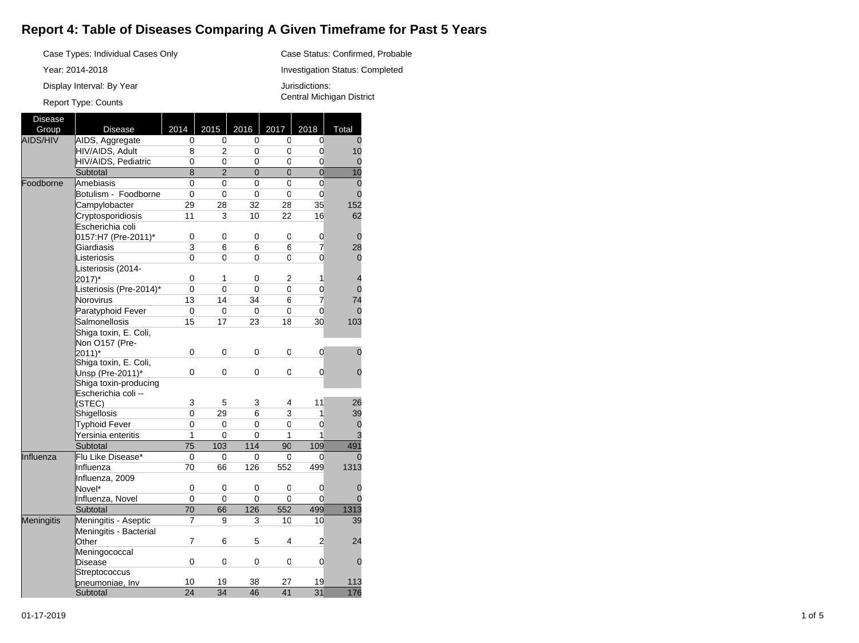## **Report 4: Table of Diseases Comparing A Given Timeframe for Past 5 Years**

Case Status: Confirmed, Probable Investigation Status: Completed

Jurisdictions:

Central Michigan District

Case Types: Individual Cases Only

Year: 2014-2018

Display Interval: By Year

## Report Type: Counts

Disease Group | Disease | 2014 | 2015 | 2016 | 2017 | 2018 | Total AIDS/HIV AIDS, Aggregate 0  $\overline{0}$  $\overline{0}$  $\overline{0}$  $\overline{0}$  $\Omega$ HIV/AIDS, Adult 8 2  $\overline{0}$  $\overline{0}$ 0 10 HIV/AIDS, Pediatric 0 0 0 0 0 0 **Subtotal** 8 2 0  $\overline{0}$ 0 10 Foodborne Amebiasis  $\overline{0}$  $\overline{0}$  $\overline{0}$  $\overline{0}$  $\overline{0}$ 0 Botulism - Foodborne 0  $\overline{0}$ 0  $\overline{0}$  $\overline{0}$  $\overline{0}$ Campylobacter 29 28 32 28 35 152 Cryptosporidiosis 11 3 10 22 16 62 Escherichia coli 0157:H7 (Pre-2011)\* 0 0 0 0 0 0 **Giardiasis** 3 6 6 6 7 28 **Listeriosis**  $\overline{0}$  $\overline{0}$ 0  $\overline{0}$  $\overline{0}$  $\Omega$ Listeriosis (2014-  $|2017\rangle^*$ 0 1 0 2 1 4 Listeriosis (Pre-2014)\* 0 0 0 0  $\overline{0}$  $\overline{0}$ Norovirus 13 14 34  $6$ 7 74 Paratyphoid Fever 0 0 0 0 0 0 Salmonellosis 15 17 23 18 30 103 Shiga toxin, E. Coli, Non O157 (Pre- $|2011\rangle^*$ 0 0 0 0 0  $\Omega$ Shiga toxin, E. Coli, Unsp (Pre-2011)\* 0 0 0 0 0  $\Omega$ Shiga toxin-producing Escherichia coli -- (STEC) 3 5 3 4 11 26 **Shigellosis** 0 29 6 3 1 39 Typhoid Fever 0 0 0 0  $\overline{0}$ 0 Yersinia enteritis 1 0  $\overline{0}$ 1 1 3 Subtotal 75 103 114 90 109 491 Influenza Flu Like Disease\* 0 0 0 0 0  $\Omega$ Influenza 70 66 126 552 499 1313 Influenza, 2009 Novel\* 0 0 0 0 0  $\Omega$ Influenza, Novel<br>Subtotal  $\frac{0}{70}$  $\frac{0}{66}$  $\frac{0}{126}$  $\frac{0}{552}$  $\frac{0}{499}$  $\frac{0}{1313}$ Subtotal 70 66 126 552 499 1313 Meningitis **Meningitis - Aseptic** 7 9 3 10 10 39 Meningitis - Bacterial **Other** 7 6 5 4 2 24 Meningococcal Disease 0 0 0 0 0  $\Omega$ **Streptococcus** pneumoniae, Inv 10 10 19 38 27 19 113<br>Subtotal 24 34 46 41 31 176 Subtotal 24 34 46 41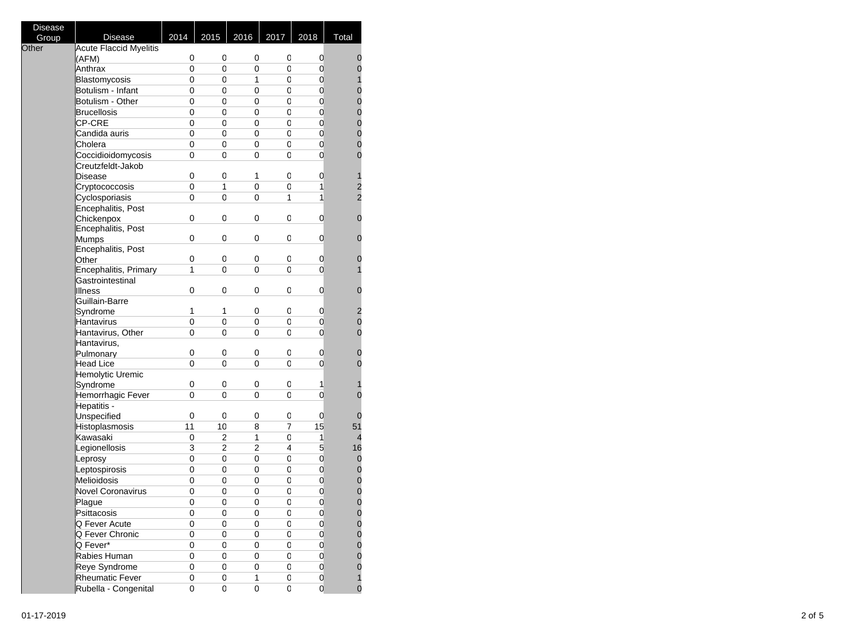| <b>Disease</b><br>Group | <b>Disease</b>                | 2014                    | 2015           | 2016                       | 2017           | 2018                | Total                                     |
|-------------------------|-------------------------------|-------------------------|----------------|----------------------------|----------------|---------------------|-------------------------------------------|
| Other                   | <b>Acute Flaccid Myelitis</b> |                         |                |                            |                |                     |                                           |
|                         | (AFM)                         | 0                       | 0              | 0                          | 0              | 0                   | 0                                         |
|                         | Anthrax                       | 0                       | 0              | 0                          | 0              | $\mathbf 0$         | $\mathbf{0}$                              |
|                         | Blastomycosis                 | 0                       | 0              | 1                          | 0              | 0                   | $\mathbf{1}$                              |
|                         | Botulism - Infant             | 0                       | 0              | 0                          | 0              | 0                   | $\mathbf{0}$                              |
|                         | Botulism - Other              | 0                       | 0              | 0                          | 0              | 0                   | $\begin{matrix}0\\0\end{matrix}$          |
|                         | <b>Brucellosis</b>            | 0                       | 0              | 0                          | 0              | 0                   |                                           |
|                         | CP-CRE                        | 0                       | 0              | 0                          | 0              | $\mathbf 0$         | $\begin{matrix} 0 \\ 0 \\ 0 \end{matrix}$ |
|                         | Candida auris                 | 0                       | 0              | 0                          | 0              | $\mathbf 0$         |                                           |
|                         | Cholera                       | 0                       | 0              | 0                          | 0              | 0                   |                                           |
|                         | Coccidioidomycosis            | 0                       | 0              | 0                          | 0              | 0                   | $\overline{0}$                            |
|                         | Creutzfeldt-Jakob             |                         |                |                            |                |                     |                                           |
|                         | Disease                       | 0                       | 0              | 1                          | 0              | 0                   | 1                                         |
|                         | Cryptococcosis                | 0                       | 1              | 0                          | 0              | $\mathbf{1}$        | $\frac{2}{2}$                             |
|                         | Cyclosporiasis                | 0                       | 0              | 0                          | 1              | 1                   |                                           |
|                         | Encephalitis, Post            |                         |                |                            |                |                     |                                           |
|                         | Chickenpox                    | 0                       | 0              | 0                          | 0              | 0                   | 0                                         |
|                         | Encephalitis, Post            |                         |                |                            |                |                     |                                           |
|                         | Mumps                         | 0                       | 0              | 0                          | 0              | 0                   | $\mathbf 0$                               |
|                         | Encephalitis, Post            |                         |                |                            |                |                     |                                           |
|                         | Other                         | 0                       | 0              | 0                          | 0              | 0                   | 0                                         |
|                         | Encephalitis, Primary         | $\mathbf{1}$            | 0              | 0                          | 0              | 0                   | 1                                         |
|                         | Gastrointestinal              |                         |                |                            |                |                     |                                           |
|                         | <b>Illness</b>                | 0                       | 0              | 0                          | 0              | 0                   | $\mathbf 0$                               |
|                         | Guillain-Barre                |                         |                |                            |                |                     |                                           |
|                         | Syndrome                      | 1                       | 1              | 0                          | 0              | 0                   | $\overline{\mathbf{c}}$                   |
|                         | Hantavirus                    | $\mathsf 0$             | $\overline{0}$ | 0                          | 0              | 0                   | $\mathbf{0}$                              |
|                         | Hantavirus, Other             | 0                       | 0              | 0                          | 0              | 0                   | $\overline{0}$                            |
|                         | Hantavirus,                   |                         |                |                            |                |                     |                                           |
|                         | Pulmonary                     | 0<br>0                  | 0              | 0                          | 0              | 0<br>0              | $\mathbf 0$<br>$\overline{0}$             |
|                         | Head Lice                     |                         | 0              | 0                          | 0              |                     |                                           |
|                         | Hemolytic Uremic              | 0                       | 0              | 0                          | 0              | 1                   |                                           |
|                         | Syndrome<br>Hemorrhagic Fever | 0                       | 0              | 0                          | 0              | $\overline{0}$      | 1<br>$\overline{0}$                       |
|                         | Hepatitis -                   |                         |                |                            |                |                     |                                           |
|                         | Unspecified                   | 0                       | 0              | 0                          | 0              | 0                   | 0                                         |
|                         | Histoplasmosis                | 11                      | 10             | 8                          | $\overline{7}$ | 15                  | 51                                        |
|                         | Kawasaki                      | 0                       | 2              | 1                          | 0              | 1                   | 4                                         |
|                         | Legionellosis                 | $\overline{\mathbf{3}}$ | $\overline{2}$ | $\overline{2}$             | 4              | 5                   | 16                                        |
|                         | Leprosy                       | 0                       | 0              | 0                          | $\mathbf 0$    | $\mathbf 0$         | $\mathbf 0$                               |
|                         | Leptospirosis                 | 0                       | 0              | 0                          | 0              | 0                   | $\mathbf 0$                               |
|                         | Melioidosis                   | 0                       | 0              | 0                          | 0              | $\boldsymbol{0}$    | $\mathbf{0}$                              |
|                         | <b>Novel Coronavirus</b>      | $\mathsf 0$             | $\mathsf 0$    | $\mathbf 0$                | 0              | 0                   | $\mathbf{0}$                              |
|                         | Plague                        | 0                       | 0              | 0                          | 0              | 0                   | $\overline{0}$                            |
|                         | Psittacosis                   | 0                       | 0              | 0                          | 0              | 0                   |                                           |
|                         | Q Fever Acute                 | 0                       | 0              | 0                          | 0              | 0                   | 0<br>$\bf{0}$                             |
|                         | Q Fever Chronic               | 0                       | 0              | 0                          |                | 0                   | $\mathbf 0$                               |
|                         |                               |                         |                |                            | 0              |                     |                                           |
|                         | Q Fever*                      | 0                       | 0              | 0                          | 0              | $\mathbf 0$         |                                           |
|                         | Rabies Human                  | 0                       | 0              | 0                          | 0              | $\mathsf{O}\xspace$ | $\begin{matrix} 0 \\ 0 \\ 0 \end{matrix}$ |
|                         | Reye Syndrome                 | 0                       | 0              | 0                          | 0              | 0                   |                                           |
|                         | <b>Rheumatic Fever</b>        | 0                       | 0              | 1<br>$\overline{\text{o}}$ | 0              | 0<br>$\overline{0}$ | $\mathbf{1}$<br>0                         |
|                         | Rubella - Congenital          | 0                       | 0              |                            | 0              |                     |                                           |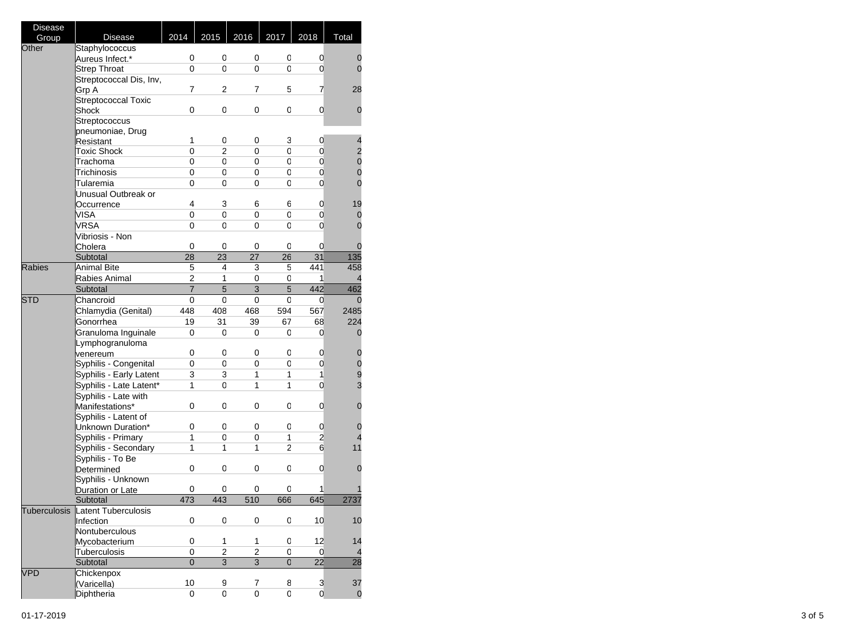| <b>Disease</b> |                         |                |                         |                         |                |                |                          |
|----------------|-------------------------|----------------|-------------------------|-------------------------|----------------|----------------|--------------------------|
| Group          | <b>Disease</b>          | 2014           | 2015                    | 2016                    | 2017           | 2018           | Total                    |
| Other          | Staphylococcus          |                |                         |                         |                |                |                          |
|                | Aureus Infect.*         | 0              | 0                       | 0                       | 0              | 0              | 0                        |
|                | <b>Strep Throat</b>     | 0              | 0                       | 0                       | 0              | $\mathbf 0$    | $\overline{0}$           |
|                | Streptococcal Dis, Inv, |                |                         |                         |                |                |                          |
|                | Grp A                   | 7              | 2                       | 7                       | 5              | 7              | 28                       |
|                | Streptococcal Toxic     |                |                         |                         |                |                |                          |
|                | Shock                   | 0              | 0                       | 0                       | 0              | 0              | 0                        |
|                | Streptococcus           |                |                         |                         |                |                |                          |
|                | pneumoniae, Drug        |                |                         |                         |                |                |                          |
|                | Resistant               | 1              | 0                       | 0                       | 3              | $\mathbf 0$    | $\overline{\mathcal{L}}$ |
|                | <b>Toxic Shock</b>      | 0              | 2                       | 0                       | 0              | 0              |                          |
|                | Trachoma                | 0              | 0                       | 0                       | 0              | $\mathsf 0$    | $\frac{2}{0}$            |
|                | Trichinosis             | 0              | 0                       | 0                       | 0              | $\mathbf 0$    | $\mathbf{0}$             |
|                | Tularemia               | 0              | 0                       | 0                       | 0              | 0              | $\overline{0}$           |
|                | Unusual Outbreak or     |                |                         |                         |                |                |                          |
|                | Occurrence              | 4              | 3                       | 6                       | 6              | 0              | 19                       |
|                | VISA                    | 0              | 0                       | 0                       | 0              | $\mathbf 0$    | $\mathbf 0$              |
|                | VRSA                    | 0              | 0                       | 0                       | 0              | 0              | $\overline{0}$           |
|                |                         |                |                         |                         |                |                |                          |
|                | Vibriosis - Non         | 0              | 0                       | 0                       | 0              | 0              | 0                        |
|                | Cholera                 | 28             | $\overline{23}$         | 27                      | 26             | 31             |                          |
|                | Subtotal                |                |                         |                         |                |                | 135                      |
| <b>Rabies</b>  | <b>Animal Bite</b>      | 5              | 4                       | 3                       | 5              | 441            | 458                      |
|                | Rabies Animal           | $\overline{2}$ | 1                       | 0                       | 0              | 1              | 4                        |
|                | Subtotal                | $\overline{7}$ | $\overline{5}$          | $\overline{3}$          | $\overline{5}$ | 442            | 462                      |
| <b>STD</b>     | Chancroid               | 0              | 0                       | 0                       | 0              | 0              | 0                        |
|                | Chlamydia (Genital)     | 448            | 408                     | 468                     | 594            | 567            | 2485                     |
|                | Gonorrhea               | 19             | 31                      | 39                      | 67             | 68             | 224                      |
|                | Granuloma Inguinale     | 0              | 0                       | 0                       | 0              | 0              | 0                        |
|                | Lymphogranuloma         |                |                         |                         |                |                |                          |
|                | venereum                | 0              | 0                       | 0                       | 0              | 0              | 0                        |
|                | Syphilis - Congenital   | 0              | 0                       | 0                       | 0              | $\mathbf 0$    | $\mathbf 0$              |
|                | Syphilis - Early Latent | 3              | 3                       | 1                       | 1              | $\mathbf{1}$   | $\frac{9}{3}$            |
|                | Syphilis - Late Latent* | 1              | 0                       | 1                       | 1              | $\mathbf 0$    |                          |
|                | Syphilis - Late with    |                |                         |                         |                |                |                          |
|                | Manifestations*         | 0              | 0                       | 0                       | 0              | $\mathbf 0$    | 0                        |
|                | Syphilis - Latent of    |                |                         |                         |                |                |                          |
|                | Unknown Duration*       | 0              | 0                       | 0                       | 0              | 0              | 0                        |
|                | Syphilis - Primary      | 1              | 0                       | 0                       | 1              | 2              | 4                        |
|                | Syphilis - Secondary    | 1              | 1                       | 1                       | $\overline{2}$ | 6              | 11                       |
|                | Syphilis - To Be        |                |                         |                         |                |                |                          |
|                | Determined              | 0              | 0                       | 0                       | 0              | 0              | 0                        |
|                | Syphilis - Unknown      |                |                         |                         |                |                |                          |
|                | Duration or Late        | 0              | 0                       | 0                       | 0              | 1              |                          |
|                | Subtotal                | 473            | 443                     | 510                     | 666            | 645            | 2737                     |
| Tuberculosis   | Latent Tuberculosis     |                |                         |                         |                |                |                          |
|                | Infection               | 0              | 0                       | 0                       | 0              | 10             | 10                       |
|                | Nontuberculous          |                |                         |                         |                |                |                          |
|                | Mycobacterium           | 0              | 1                       | 1                       | 0              | 12             | 14                       |
|                | Tuberculosis            | 0              | $\overline{\mathbf{c}}$ | $\overline{\mathbf{c}}$ | 0              | $\mathbf 0$    | 4                        |
|                | Subtotal                | $\overline{0}$ | $\mathbf{3}$            | $\overline{3}$          | $\overline{0}$ | 22             | 28                       |
|                |                         |                |                         |                         |                |                |                          |
| <b>VPD</b>     | Chickenpox              | 10             | 9                       | 7                       | 8              |                |                          |
|                | (Varicella)             |                |                         |                         |                | 3              | 37                       |
|                | Diphtheria              | 0              | 0                       | 0                       | 0              | $\overline{0}$ | $\mathbf 0$              |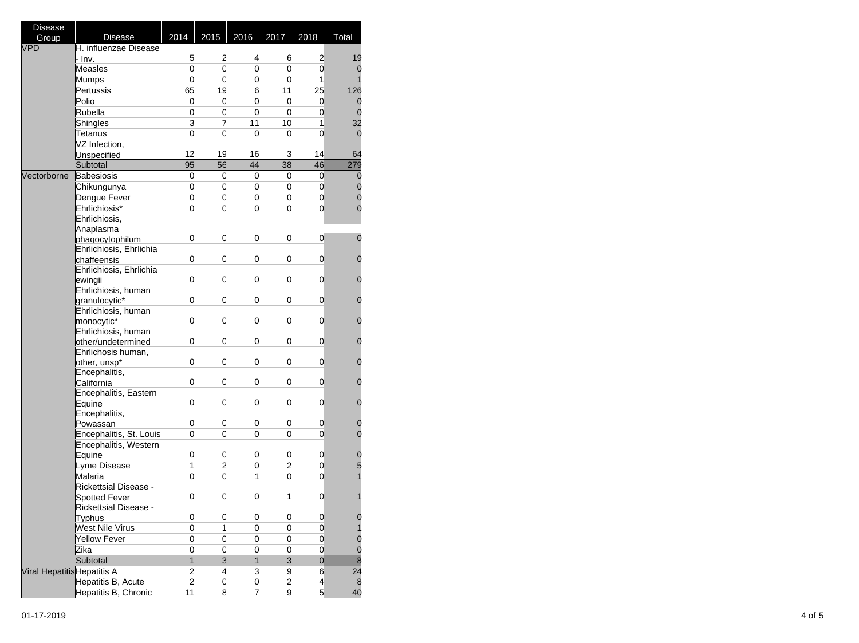| Disease                     |                         |                |                 |              |                |                |                                  |
|-----------------------------|-------------------------|----------------|-----------------|--------------|----------------|----------------|----------------------------------|
| Group                       | <b>Disease</b>          | 2014           | 2015            | 2016         | 2017           | 2018           | Total                            |
| <b>VPD</b>                  | H. influenzae Disease   |                |                 |              |                |                |                                  |
|                             | · Inv.                  | 5              | 2               | 4            | 6              | 2              | 19                               |
|                             | Measles                 | 0              | 0               | 0            | 0              | $\mathbf 0$    | 0                                |
|                             | Mumps                   | 0              | 0               | 0            | 0              | 1              | 1                                |
|                             | Pertussis               | 65             | 19              | 6            | 11             | 25             | 126                              |
|                             | Polio                   | 0              | 0               | 0            | 0              | 0              | 0                                |
|                             | Rubella                 | 0              | 0               | 0            | 0              | $\mathbf 0$    | $\overline{0}$                   |
|                             | Shingles                | 3              | 7               | 11           | 10             | 1              | 32                               |
|                             | Tetanus                 | 0              | 0               | 0            | 0              | 0              | 0                                |
|                             | VZ Infection,           |                |                 |              |                |                |                                  |
|                             | Unspecified             | 12             | 19              | 16           | 3              | 14             | 64                               |
|                             | Subtotal                | 95             | $\overline{56}$ | 44           | 38             | 46             | 279                              |
| Vectorborne                 | Babesiosis              | 0              | 0               | 0            | 0              | $\mathbf 0$    |                                  |
|                             |                         | 0              | 0               | 0            | 0              | $\mathbf 0$    | $\boldsymbol{0}$<br>$\mathbf{0}$ |
|                             | Chikungunya             |                |                 |              |                |                | $\mathbf{0}$                     |
|                             | Dengue Fever            | 0              | 0               | 0            | 0              | $\mathbf 0$    |                                  |
|                             | Ehrlichiosis*           | 0              | 0               | 0            | 0              | 0              | $\overline{0}$                   |
|                             | Ehrlichiosis,           |                |                 |              |                |                |                                  |
|                             | Anaplasma               |                |                 |              |                |                | $\overline{0}$                   |
|                             | phagocytophilum         | 0              | 0               | 0            | 0              | 0              |                                  |
|                             | Ehrlichiosis, Ehrlichia |                |                 |              |                |                |                                  |
|                             | chaffeensis             | 0              | 0               | 0            | 0              | 0              | 0                                |
|                             | Ehrlichiosis, Ehrlichia |                |                 |              |                |                |                                  |
|                             | ewingii                 | 0              | 0               | 0            | 0              | 0              | 0                                |
|                             | Ehrlichiosis, human     |                |                 |              |                |                |                                  |
|                             | granulocytic*           | 0              | 0               | 0            | 0              | 0              | 0                                |
|                             | Ehrlichiosis, human     |                |                 |              |                |                |                                  |
|                             | monocytic*              | 0              | 0               | 0            | 0              | 0              | 0                                |
|                             | Ehrlichiosis, human     |                |                 |              |                |                |                                  |
|                             | other/undetermined      | 0              | 0               | 0            | 0              | 0              | 0                                |
|                             | Ehrlichosis human,      |                |                 |              |                |                |                                  |
|                             | other, unsp*            | 0              | 0               | 0            | 0              | 0              | 0                                |
|                             | Encephalitis,           |                |                 |              |                |                |                                  |
|                             | California              | 0              | 0               | 0            | 0              | 0              | 0                                |
|                             | Encephalitis, Eastern   |                |                 |              |                |                |                                  |
|                             | Equine                  | 0              | 0               | 0            | 0              | 0              | 0                                |
|                             | Encephalitis,           |                |                 |              |                |                |                                  |
|                             | Powassan                | 0              | 0               | 0            | 0              | 0              | 0<br>$\overline{0}$              |
|                             | Encephalitis, St. Louis | 0              | 0               | 0            | 0              | 0              |                                  |
|                             | Encephalitis, Western   |                |                 |              |                |                |                                  |
|                             | Equine                  | 0              | 0               | 0            | 0              | 0              | $\mathbf 0$                      |
|                             | Lyme Disease            | 1              | 2               | 0            | $\overline{2}$ | $\mathbf 0$    | 5                                |
|                             | Malaria                 | 0              | 0               | 1            | 0              | 0              | $\overline{1}$                   |
|                             | Rickettsial Disease -   |                |                 |              |                |                |                                  |
|                             | <b>Spotted Fever</b>    | 0              | 0               | 0            | 1              | 0              | 1                                |
|                             | Rickettsial Disease -   |                |                 |              |                |                |                                  |
|                             | Typhus                  | 0              | 0               | 0            | 0              | 0              | $\mathbf 0$                      |
|                             | West Nile Virus         | 0              | 1               | 0            | 0              | 0              | $\overline{1}$                   |
|                             | Yellow Fever            | 0              | 0               | 0            | 0              | 0              | $\mathbf 0$                      |
|                             | Zika                    | 0              | 0               | 0            | 0              | $\mathbf 0$    | $\frac{0}{8}$                    |
|                             | Subtotal                | $\mathbf{1}$   | 3               | $\mathbf{1}$ | 3              | $\overline{0}$ |                                  |
| Viral Hepatitis Hepatitis A |                         | 2              | 4               | 3            | 9              | 6              | $\overline{24}$                  |
|                             | Hepatitis B, Acute      | $\overline{2}$ | 0               | 0            | 2              | $\overline{4}$ | 8                                |
|                             | Hepatitis B, Chronic    | 11             | 8               | 7            | 9              | 5              | 40                               |